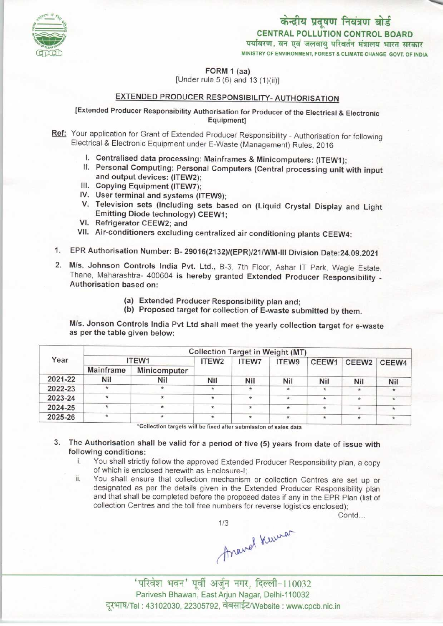

MINISTRY OF ENVIRONMENT, FOREST & CLIMATE CHANGE GOVT. OF INDIA

FORM 1 (aa)

[Under rule  $5(6)$  and  $13(1)(ii)$ ]

## EXTENDED PRODUCER RESPONSIBILITY- AUTHORISATION

## [Extended Producer Responsibility Authorisation for Producer ofthe Electrical & Electronic Equipment]

- Ref: Your application for Grant of Extended Producer Responsibility Authorisation for following Electrical & Electronic Equipment under E-Waste (Management) Rules, 2016
	- I. Centralised data processing: Mainframes & Minicomputers: (ITEW1);
	- II. Personal Computing: Personal Computers (Central processing unit with input and output devices: (ITEW2);
	- III.Copying Equipment (ITEW7);
	- IV. User terminal and systems (ITEW9);
	- V.Television sets (including sets based on (Liquid Crystal Display and Light Emitting Diode technology) CEEW1;
	- VI. Refrigerator CEEW2; and
	- VII. Air-conditioners excluding centralized air conditioning plants CEEW4:
- 1.EPR Authorisation Number: B- 29016(2132)/(EPR)/21/WM-NI Division Date:24.09.2021
- 2.M/s. Johnson Controls India Pvt. Ltd., B-3, 7th Floor, Ashar IT Park, Wagle Estate, Thane, Maharashtra- 400604 is hereby granted Extended Producer Responsibility - Authorisation based on:
	- (a)Extended Producer Responsibility plan and;
	- (b) Proposed target for collection of E-waste submitted by them.

M/s. Jonson Controls India Pvt Ltd shall meet the yearly collection target for e-waste as perthe table given below:

| Year    | <b>Collection Target in Weight (MT)</b> |              |                   |              |         |         |                   |         |
|---------|-----------------------------------------|--------------|-------------------|--------------|---------|---------|-------------------|---------|
|         | ITEW1                                   |              | ITEW <sub>2</sub> | <b>ITEW7</b> | ITEW9   | CEEW1   | CEEW <sub>2</sub> | CEEW4   |
|         | <b>Mainframe</b>                        | Minicomputer |                   |              |         |         |                   |         |
| 2021-22 | Nil                                     | Nil          | Nil               | <b>Nil</b>   | Nil     | Nil     | Nil               | Nil     |
| 2022-23 | $\star$                                 |              |                   | $\star$      | $\star$ | $\ast$  | $\star$           | $\star$ |
| 2023-24 |                                         | $\star$      | *                 | $\star$      | $\star$ | $\star$ | $\star$           | $\star$ |
| 2024-25 |                                         | $\star$      | $\star$           | $\ast$       | $\star$ | $\star$ | $\star$           |         |
| 2025-26 | $\star$                                 | ${}^{\star}$ |                   | $\star$      |         | $\ast$  | $\star$           |         |

 $3.$ The Authorisation shall be valid for a period of five (5) years from date of issue with following conditions:

- i. You shall strictly follow the approved Extended Producer Responsibility plan, a copy of which is enclosed herewith as Enclosure-I;
- ii. You shall ensure that collection mechanism or collection Centres are set up or designated as per the details given in the Extended Producer Responsibility plan and that shall be completed before the proposed dates if any in the EPR Plan (list of collection Centres and the toll free numbers for reverse logistics enclosed);

Contd...

1/3<br>Arawel Kuwar

'.<br>'परिवेश भवन' पूर्वी अर्जुन नगर, दिल्ली-110032 Parivesh Bhawan, East Arjun Nagar, Delhi-110032 दूरभाष/Tel: 43102030, 22305792, वेबसाईट/Website : www.cpcb.nic.in

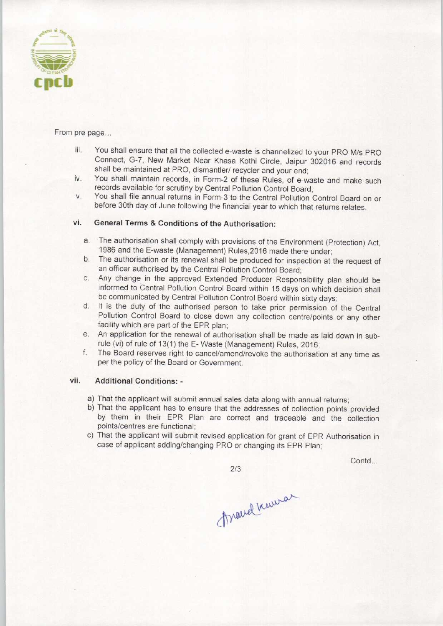

From pre page...

- iii. You shall ensure that all the collected e-waste is channelized to your PRO M/s PRO Connect, G-7, New Market Near Khasa Kothi Circle, Jaipur 302016 and records shall be maintained at PRO, dismantler/ recycler and your end;
- iv. You shall maintain records, in Form-2 of these Rules, of e-waste and make such records available for scrutiny by Central Pollution Control Board;
- v. You shall file annual returns in Form-3 to the Central Pollution Control Board on or before 30th day of June following the financial year to which that returns relates.

## vi. General Terms & Conditions of the Authorisation:

- a. The authorisation shall comply with provisions of the Environment (Protection) Act, 1986 and the E-waste (Management) Rules,2016 made there under;
- b.The authorisation or its renewal shall be produced for inspection at the request of an officer authorised by the Central Pollution Control Board;
- c.Any change in the approved Extended Producer Responsibility plan should be informed to Central Pollution Control Board within 15 days on which decision shall be communicated by Central Pollution Control Board within sixty days;
- d. It is the duty of the authorised person to take prior permission of the Central Pollution Control Board to close down any collection centre/points or any other facility which are part of the EPR plan;
- e. An application for the renewal of authorisation shall be made as laid down in subrule (vi) of rule of 13(1) the E- Waste (Management) Rules, 2016;
- f. The Board reserves right to cancel/amend/revoke the authorisation at any time as per the policy of the Board or Government.

## vii. Additional Conditions: -

- a)That the applicant will submit annual sales data along with annual returns;
- b) That the applicant has to ensure that the addresses of collection points provided by them in their EPR Plan are correct and traceable and the collection points/centres are functional;
- c) That the applicant will submit revised application for grant of EPR Authorisation in case of applicant adding/changing PRO or changing its EPR Plan;

Contd...

2/3

Mand Kuman